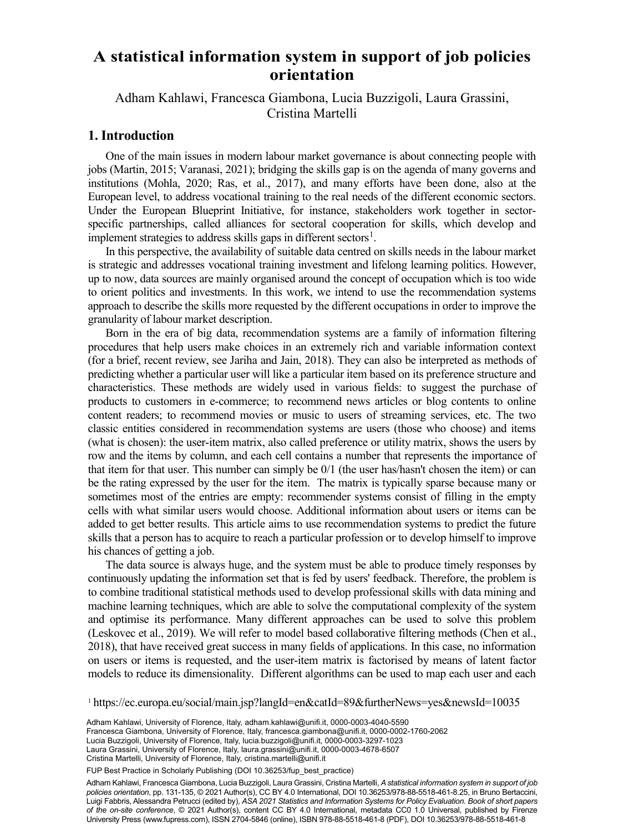# **orientation A statistical information system in support of job policies**

Adham Kahlawi, Francesca Giambona, Lucia Buzzigoli, Laura Grassini, <sup>a</sup> Dipartimento di Statistica, Informatica, Applicazioni, Università di Firenze, Firenze, Italia Cristina Martelli

#### **1. Introduction**

One of the main issues in modern labour market governance is about connecting people with jobs (Martin, 2015; Varanasi, 2021); bridging the skills gap is on the agenda of many governs and institutions (Mohla, 2020; Ras, et al., 2017), and many efforts have been done, also at the European level, to address vocational training to the real needs of the different economic sectors. Under the European Blueprint Initiative, for instance, stakeholders work together in sectorspecific partnerships, called alliances for sectoral cooperation for skills, which develop and implement strategies to address skills gaps in different sectors<sup>1</sup>.

In this perspective, the availability of suitable data centred on skills needs in the labour market is strategic and addresses vocational training investment and lifelong learning politics. However, up to now, data sources are mainly organised around the concept of occupation which is too wide to orient politics and investments. In this work, we intend to use the recommendation systems approach to describe the skills more requested by the different occupations in order to improve the granularity of labour market description.

Born in the era of big data, recommendation systems are a family of information filtering procedures that help users make choices in an extremely rich and variable information context (for a brief, recent review, see Jariha and Jain, 2018). They can also be interpreted as methods of predicting whether a particular user will like a particular item based on its preference structure and characteristics. These methods are widely used in various fields: to suggest the purchase of products to customers in e-commerce; to recommend news articles or blog contents to online content readers; to recommend movies or music to users of streaming services, etc. The two classic entities considered in recommendation systems are users (those who choose) and items (what is chosen): the user-item matrix, also called preference or utility matrix, shows the users by row and the items by column, and each cell contains a number that represents the importance of that item for that user. This number can simply be 0/1 (the user has/hasn't chosen the item) or can be the rating expressed by the user for the item. The matrix is typically sparse because many or sometimes most of the entries are empty: recommender systems consist of filling in the empty cells with what similar users would choose. Additional information about users or items can be added to get better results. This article aims to use recommendation systems to predict the future skills that a person has to acquire to reach a particular profession or to develop himself to improve his chances of getting a job.

The data source is always huge, and the system must be able to produce timely responses by continuously updating the information set that is fed by users' feedback. Therefore, the problem is to combine traditional statistical methods used to develop professional skills with data mining and machine learning techniques, which are able to solve the computational complexity of the system and optimise its performance. Many different approaches can be used to solve this problem (Leskovec et al., 2019). We will refer to model based collaborative filtering methods (Chen et al., 2018), that have received great success in many fields of applications. In this case, no information on users or items is requested, and the user-item matrix is factorised by means of latent factor models to reduce its dimensionality. Different algorithms can be used to map each user and each

<sup>1</sup> https://ec.europa.eu/social/main.jsp?langId=en&catId=89&furtherNews=yes&newsId=10035

119 Lucia Buzzigoli, University of Florence, Italy, [lucia.buzzigoli@unifi.it,](mailto:lucia.buzzigoli@unifi.it) [0000-0003-3297-1023](https://orcid.org/0000-0003-3297-1023) Adham Kahlawi, University of Florence, Italy, [adham.kahlawi@unifi.it,](mailto:adham.kahlawi@unifi.it) [0000-0003-4040-5590](https://orcid.org/0000-0003-4040-5590) Francesca Giambona, University of Florence, Italy, [francesca.giambona@unifi.it,](mailto:francesca.giambona@unifi.it) [0000-0002-1760-2062](https://orcid.org/0000-0002-1760-2062) Laura Grassini, University of Florence, Italy, [laura.grassini@unifi.it,](mailto:laura.grassini@unifi.it) [0000-0003-4678-6507](https://orcid.org/0000-0003-4678-6507) Cristina Martelli, University of Florence, Italy, [cristina.martelli@unifi.it](mailto:cristina.martelli@unifi.it)

FUP Best Practice in Scholarly Publishing (DOI [10.36253/fup\\_best\\_practice](https://doi.org/10.36253/fup_best_practice))

Adham Kahlawi, Francesca Giambona, Lucia Buzzigoli, Laura Grassini, Cristina Martelli, *A statistical information system in support of job policies orientation*, pp. 131-135, © 2021 Author(s), [CC BY 4.0 International,](http://creativecommons.org/licenses/by/4.0/legalcode) DOI [10.36253/978-88-5518-461-8.25](https://doi.org/10.36253/978-88-5518-461-8.25), in Bruno Bertaccini, Luigi Fabbris, Alessandra Petrucci (edited by), *ASA 2021 Statistics and Information Systems for Policy Evaluation. Book of short papers of the on-site conference*, © 2021 Author(s), content [CC BY 4.0 International,](http://creativecommons.org/licenses/by/4.0/legalcode) metadata [CC0 1.0 Universal](https://creativecommons.org/publicdomain/zero/1.0/legalcode), published by Firenze University Press [\(www.fupress.com\)](http://www.fupress.com), ISSN 2704-5846 (online), ISBN 978-88-5518-461-8 (PDF), DOI [10.36253/978-88-5518-461-8](https://doi.org/10.36253/978-88-5518-461-8)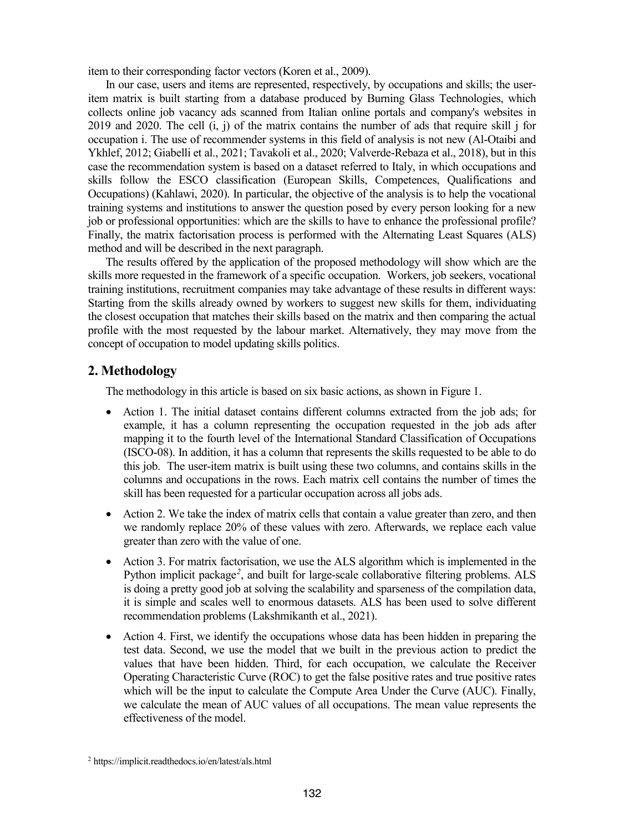item to their corresponding factor vectors (Koren et al., 2009).

In our case, users and items are represented, respectively, by occupations and skills; the useritem matrix is built starting from a database produced by Burning Glass Technologies, which collects online job vacancy ads scanned from Italian online portals and company's websites in 2019 and 2020. The cell (i, j) of the matrix contains the number of ads that require skill j for occupation i. The use of recommender systems in this field of analysis is not new (Al-Otaibi and Ykhlef, 2012; Giabelli et al., 2021; Tavakoli et al., 2020; Valverde-Rebaza et al., 2018), but in this case the recommendation system is based on a dataset referred to Italy, in which occupations and skills follow the ESCO classification (European Skills, Competences, Qualifications and Occupations) (Kahlawi, 2020). In particular, the objective of the analysis is to help the vocational training systems and institutions to answer the question posed by every person looking for a new job or professional opportunities: which are the skills to have to enhance the professional profile? Finally, the matrix factorisation process is performed with the Alternating Least Squares (ALS) method and will be described in the next paragraph.

The results offered by the application of the proposed methodology will show which are the skills more requested in the framework of a specific occupation. Workers, job seekers, vocational training institutions, recruitment companies may take advantage of these results in different ways: Starting from the skills already owned by workers to suggest new skills for them, individuating the closest occupation that matches their skills based on the matrix and then comparing the actual profile with the most requested by the labour market. Alternatively, they may move from the concept of occupation to model updating skills politics.

### **2. Methodology**

The methodology in this article is based on six basic actions, as shown in Figure 1.

- Action 1. The initial dataset contains different columns extracted from the job ads; for example, it has a column representing the occupation requested in the job ads after mapping it to the fourth level of the International Standard Classification of Occupations (ISCO-08). In addition, it has a column that represents the skills requested to be able to do this job. The user-item matrix is built using these two columns, and contains skills in the columns and occupations in the rows. Each matrix cell contains the number of times the skill has been requested for a particular occupation across all jobs ads.
- Action 2. We take the index of matrix cells that contain a value greater than zero, and then we randomly replace 20% of these values with zero. Afterwards, we replace each value greater than zero with the value of one.
- Action 3. For matrix factorisation, we use the ALS algorithm which is implemented in the Python implicit package*<sup>2</sup>* , and built for large-scale collaborative filtering problems. ALS is doing a pretty good job at solving the scalability and sparseness of the compilation data, it is simple and scales well to enormous datasets. ALS has been used to solve different recommendation problems (Lakshmikanth et al., 2021).
- Action 4. First, we identify the occupations whose data has been hidden in preparing the test data. Second, we use the model that we built in the previous action to predict the values that have been hidden. Third, for each occupation, we calculate the Receiver Operating Characteristic Curve (ROC) to get the false positive rates and true positive rates which will be the input to calculate the Compute Area Under the Curve (AUC). Finally, we calculate the mean of AUC values of all occupations. The mean value represents the effectiveness of the model.

<sup>2</sup> https://implicit.readthedocs.io/en/latest/als.html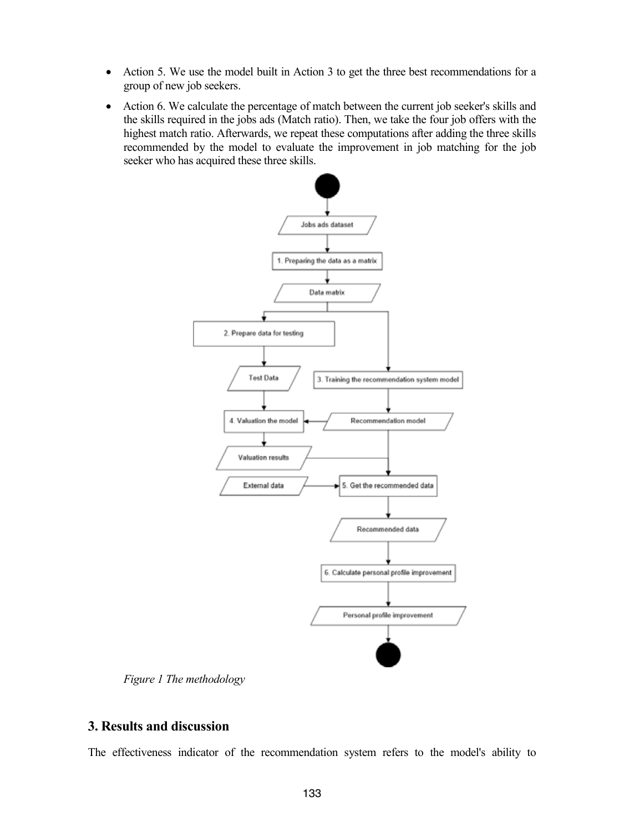- Action 5. We use the model built in Action 3 to get the three best recommendations for a group of new job seekers.
- Action 6. We calculate the percentage of match between the current job seeker's skills and the skills required in the jobs ads (Match ratio). Then, we take the four job offers with the highest match ratio. Afterwards, we repeat these computations after adding the three skills recommended by the model to evaluate the improvement in job matching for the job seeker who has acquired these three skills.



*Figure 1 The methodology*

### **3. Results and discussion**

The effectiveness indicator of the recommendation system refers to the model's ability to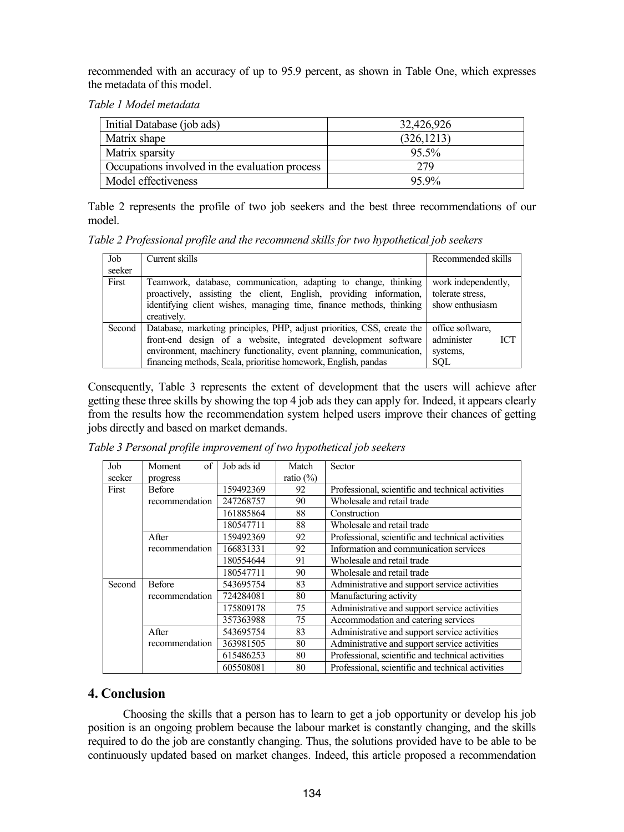recommended with an accuracy of up to 95.9 percent, as shown in Table One, which expresses the metadata of this model.

*Table 1 Model metadata*

| Initial Database (job ads)                     | 32,426,926  |
|------------------------------------------------|-------------|
| Matrix shape                                   | (326, 1213) |
| Matrix sparsity                                | 95.5%       |
| Occupations involved in the evaluation process | 279         |
| Model effectiveness                            | 95.9%       |

Table 2 represents the profile of two job seekers and the best three recommendations of our model.

*Table 2 Professional profile and the recommend skills for two hypothetical job seekers*

| Job<br>seeker | Current skills                                                                                                                                                                                                                                                                      | Recommended skills                                                     |
|---------------|-------------------------------------------------------------------------------------------------------------------------------------------------------------------------------------------------------------------------------------------------------------------------------------|------------------------------------------------------------------------|
| First         | Teamwork, database, communication, adapting to change, thinking<br>proactively, assisting the client, English, providing information,<br>identifying client wishes, managing time, finance methods, thinking<br>creatively.                                                         | work independently,<br>tolerate stress.<br>show enthusiasm             |
| Second        | Database, marketing principles, PHP, adjust priorities, CSS, create the<br>front-end design of a website, integrated development software<br>environment, machinery functionality, event planning, communication,<br>financing methods, Scala, prioritise homework, English, pandas | office software.<br>administer<br><b>ICT</b><br>systems,<br><b>SOL</b> |

Consequently, Table 3 represents the extent of development that the users will achieve after getting these three skills by showing the top 4 job ads they can apply for. Indeed, it appears clearly from the results how the recommendation system helped users improve their chances of getting jobs directly and based on market demands.

| Job    | of<br>Moment   | Job ads id | Match        | Sector                                            |
|--------|----------------|------------|--------------|---------------------------------------------------|
| seeker | progress       |            | ratio $(\%)$ |                                                   |
| First  | <b>Before</b>  | 159492369  | 92           | Professional, scientific and technical activities |
|        | recommendation | 247268757  | 90           | Wholesale and retail trade                        |
|        |                | 161885864  | 88           | Construction                                      |
|        |                | 180547711  | 88           | Wholesale and retail trade                        |
|        | After          | 159492369  | 92           | Professional, scientific and technical activities |
|        | recommendation | 166831331  | 92           | Information and communication services            |
|        |                | 180554644  | 91           | Wholesale and retail trade                        |
|        |                | 180547711  | 90           | Wholesale and retail trade                        |
| Second | <b>Before</b>  | 543695754  | 83           | Administrative and support service activities     |
|        | recommendation | 724284081  | 80           | Manufacturing activity                            |
|        |                | 175809178  | 75           | Administrative and support service activities     |
|        |                | 357363988  | 75           | Accommodation and catering services               |
|        | After          | 543695754  | 83           | Administrative and support service activities     |
|        | recommendation | 363981505  | 80           | Administrative and support service activities     |
|        |                | 615486253  | 80           | Professional, scientific and technical activities |
|        |                | 605508081  | 80           | Professional, scientific and technical activities |

*Table 3 Personal profile improvement of two hypothetical job seekers*

## **4. Conclusion**

Choosing the skills that a person has to learn to get a job opportunity or develop his job position is an ongoing problem because the labour market is constantly changing, and the skills required to do the job are constantly changing. Thus, the solutions provided have to be able to be continuously updated based on market changes. Indeed, this article proposed a recommendation